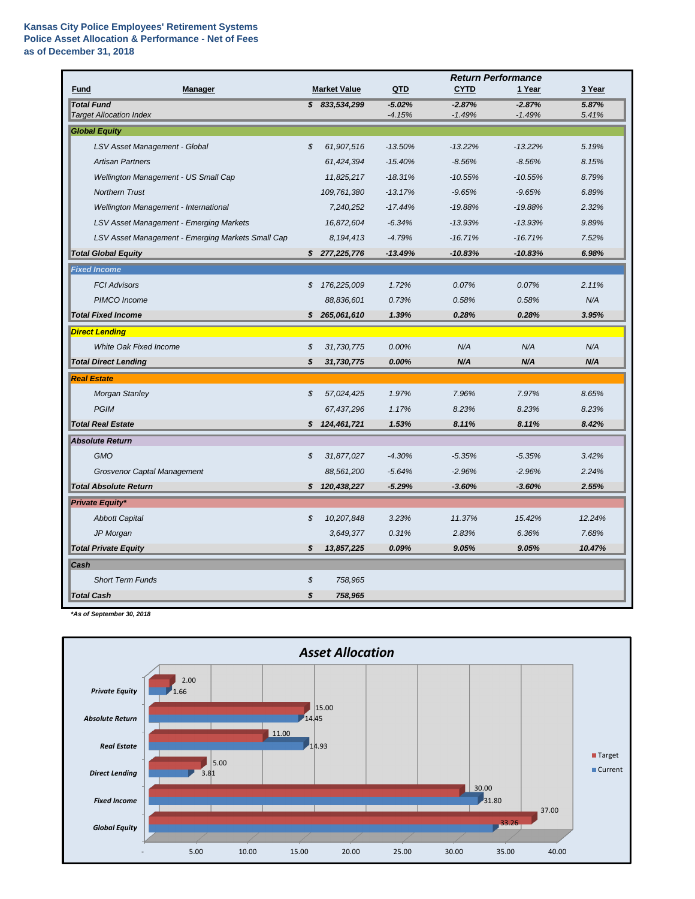## **Kansas City Police Employees' Retirement Systems Police Asset Allocation & Performance - Net of Fees as of December 31, 2018**

|                                                     |    |                     | <b>Return Performance</b> |                      |                      |                |
|-----------------------------------------------------|----|---------------------|---------------------------|----------------------|----------------------|----------------|
| <b>Manager</b><br><b>Fund</b>                       |    | <b>Market Value</b> | QTD                       | <b>CYTD</b>          | 1 Year               | 3 Year         |
| <b>Total Fund</b><br><b>Target Allocation Index</b> |    | \$833,534,299       | $-5.02%$<br>$-4.15%$      | $-2.87%$<br>$-1.49%$ | $-2.87%$<br>$-1.49%$ | 5.87%<br>5.41% |
| <b>Global Equity</b>                                |    |                     |                           |                      |                      |                |
| LSV Asset Management - Global                       | \$ | 61,907,516          | $-13.50%$                 | $-13.22%$            | $-13.22%$            | 5.19%          |
| <b>Artisan Partners</b>                             |    | 61,424,394          | $-15.40%$                 | $-8.56%$             | $-8.56%$             | 8.15%          |
| Wellington Management - US Small Cap                |    | 11,825,217          | $-18.31%$                 | $-10.55%$            | $-10.55%$            | 8.79%          |
| <b>Northern Trust</b>                               |    | 109,761,380         | $-13.17%$                 | $-9.65%$             | $-9.65%$             | 6.89%          |
| Wellington Management - International               |    | 7,240,252           | $-17.44%$                 | $-19.88%$            | $-19.88%$            | 2.32%          |
| <b>LSV Asset Management - Emerging Markets</b>      |    | 16,872,604          | $-6.34%$                  | $-13.93%$            | $-13.93%$            | 9.89%          |
| LSV Asset Management - Emerging Markets Small Cap   |    | 8,194,413           | $-4.79%$                  | $-16.71%$            | $-16.71%$            | 7.52%          |
| <b>Total Global Equity</b>                          |    | \$277,225,776       | $-13.49%$                 | $-10.83%$            | $-10.83%$            | 6.98%          |
| <b>Fixed Income</b>                                 |    |                     |                           |                      |                      |                |
| <b>FCI Advisors</b>                                 | S  | 176,225,009         | 1.72%                     | 0.07%                | 0.07%                | 2.11%          |
| PIMCO Income                                        |    | 88,836,601          | 0.73%                     | 0.58%                | 0.58%                | N/A            |
| <b>Total Fixed Income</b>                           | S. | 265,061,610         | 1.39%                     | 0.28%                | 0.28%                | 3.95%          |
| <b>Direct Lending</b>                               |    |                     |                           |                      |                      |                |
| <b>White Oak Fixed Income</b>                       | \$ | 31,730,775          | 0.00%                     | N/A                  | N/A                  | N/A            |
| <b>Total Direct Lending</b>                         | \$ | 31,730,775          | 0.00%                     | N/A                  | N/A                  | N/A            |
| <b>Real Estate</b>                                  |    |                     |                           |                      |                      |                |
| <b>Morgan Stanley</b>                               | \$ | 57,024,425          | 1.97%                     | 7.96%                | 7.97%                | 8.65%          |
| <b>PGIM</b>                                         |    | 67,437,296          | 1.17%                     | 8.23%                | 8.23%                | 8.23%          |
| <b>Total Real Estate</b>                            |    | \$124,461,721       | 1.53%                     | 8.11%                | 8.11%                | 8.42%          |
| <b>Absolute Return</b>                              |    |                     |                           |                      |                      |                |
| <b>GMO</b>                                          | \$ | 31,877,027          | $-4.30%$                  | $-5.35%$             | $-5.35%$             | 3.42%          |
| <b>Grosvenor Captal Management</b>                  |    | 88,561,200          | $-5.64%$                  | $-2.96%$             | $-2.96%$             | 2.24%          |
| <b>Total Absolute Return</b>                        | \$ | 120,438,227         | $-5.29%$                  | $-3.60%$             | $-3.60%$             | 2.55%          |
| <b>Private Equity*</b>                              |    |                     |                           |                      |                      |                |
| <b>Abbott Capital</b>                               | \$ | 10,207,848          | 3.23%                     | 11.37%               | 15.42%               | 12.24%         |
| JP Morgan                                           |    | 3,649,377           | 0.31%                     | 2.83%                | 6.36%                | 7.68%          |
| <b>Total Private Equity</b>                         | \$ | 13,857,225          | 0.09%                     | 9.05%                | 9.05%                | 10.47%         |
| Cash                                                |    |                     |                           |                      |                      |                |
| <b>Short Term Funds</b>                             | \$ | 758,965             |                           |                      |                      |                |
| <b>Total Cash</b>                                   | \$ | 758,965             |                           |                      |                      |                |

*\*As of September 30, 2018*